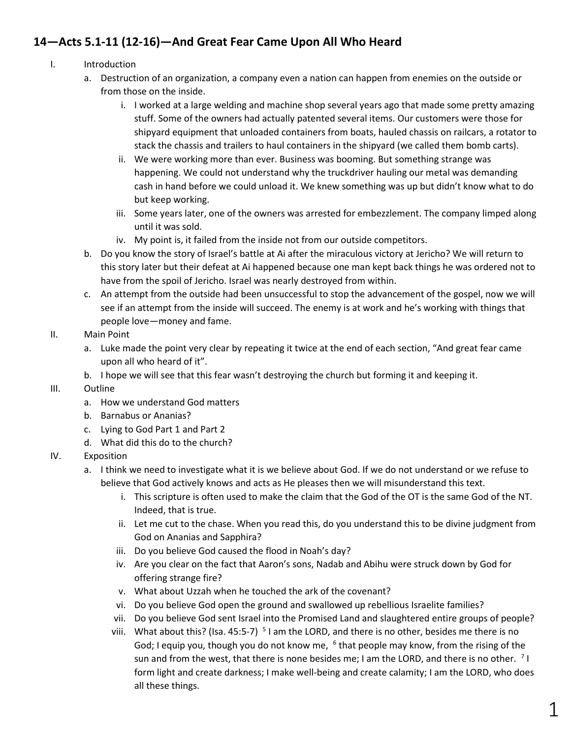## **14—Acts 5.1-11 (12-16)—And Great Fear Came Upon All Who Heard**

- I. Introduction
	- a. Destruction of an organization, a company even a nation can happen from enemies on the outside or from those on the inside.
		- i. I worked at a large welding and machine shop several years ago that made some pretty amazing stuff. Some of the owners had actually patented several items. Our customers were those for shipyard equipment that unloaded containers from boats, hauled chassis on railcars, a rotator to stack the chassis and trailers to haul containers in the shipyard (we called them bomb carts).
		- ii. We were working more than ever. Business was booming. But something strange was happening. We could not understand why the truckdriver hauling our metal was demanding cash in hand before we could unload it. We knew something was up but didn't know what to do but keep working.
		- iii. Some years later, one of the owners was arrested for embezzlement. The company limped along until it was sold.
		- iv. My point is, it failed from the inside not from our outside competitors.
	- b. Do you know the story of Israel's battle at Ai after the miraculous victory at Jericho? We will return to this story later but their defeat at Ai happened because one man kept back things he was ordered not to have from the spoil of Jericho. Israel was nearly destroyed from within.
	- c. An attempt from the outside had been unsuccessful to stop the advancement of the gospel, now we will see if an attempt from the inside will succeed. The enemy is at work and he's working with things that people love—money and fame.

## II. Main Point

- a. Luke made the point very clear by repeating it twice at the end of each section, "And great fear came upon all who heard of it".
- b. I hope we will see that this fear wasn't destroying the church but forming it and keeping it.

## III. Outline

- a. How we understand God matters
- b. Barnabus or Ananias?
- c. Lying to God Part 1 and Part 2
- d. What did this do to the church?

## IV. Exposition

- a. I think we need to investigate what it is we believe about God. If we do not understand or we refuse to believe that God actively knows and acts as He pleases then we will misunderstand this text.
	- i. This scripture is often used to make the claim that the God of the OT is the same God of the NT. Indeed, that is true.
	- ii. Let me cut to the chase. When you read this, do you understand this to be divine judgment from God on Ananias and Sapphira?
	- iii. Do you believe God caused the flood in Noah's day?
	- iv. Are you clear on the fact that Aaron's sons, Nadab and Abihu were struck down by God for offering strange fire?
	- v. What about Uzzah when he touched the ark of the covenant?
	- vi. Do you believe God open the ground and swallowed up rebellious Israelite families?
	- vii. Do you believe God sent Israel into the Promised Land and slaughtered entire groups of people?
	- viii. What about this? (Isa. 45:5-7)  $\frac{5}{1}$  am the LORD, and there is no other, besides me there is no God; I equip you, though you do not know me, <sup>6</sup> that people may know, from the rising of the sun and from the west, that there is none besides me; I am the LORD, and there is no other.  $\frac{7}{1}$ form light and create darkness; I make well-being and create calamity; I am the LORD, who does all these things.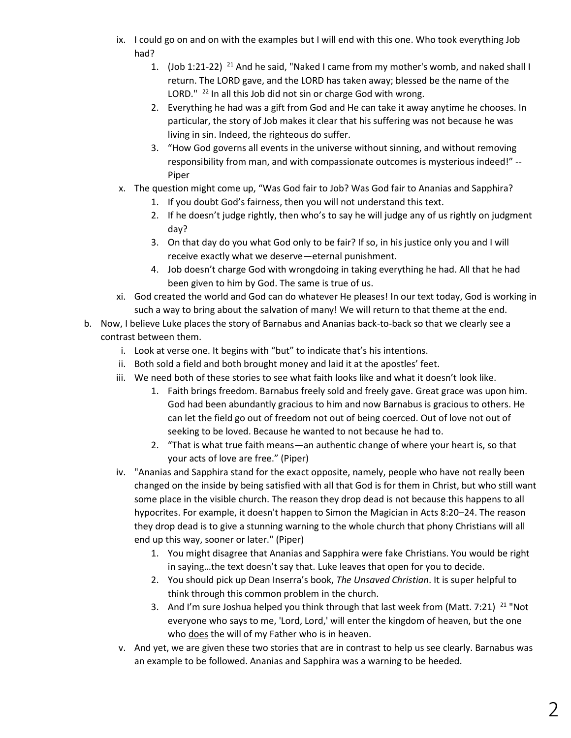- ix. I could go on and on with the examples but I will end with this one. Who took everything Job had?
	- 1.  $($ Job 1:21-22) <sup>21</sup> And he said, "Naked I came from my mother's womb, and naked shall I return. The LORD gave, and the LORD has taken away; blessed be the name of the LORD." <sup>22</sup> In all this Job did not sin or charge God with wrong.
	- 2. Everything he had was a gift from God and He can take it away anytime he chooses. In particular, the story of Job makes it clear that his suffering was not because he was living in sin. Indeed, the righteous do suffer.
	- 3. "How God governs all events in the universe without sinning, and without removing responsibility from man, and with compassionate outcomes is mysterious indeed!" -- Piper
- x. The question might come up, "Was God fair to Job? Was God fair to Ananias and Sapphira?
	- 1. If you doubt God's fairness, then you will not understand this text.
	- 2. If he doesn't judge rightly, then who's to say he will judge any of us rightly on judgment day?
	- 3. On that day do you what God only to be fair? If so, in his justice only you and I will receive exactly what we deserve—eternal punishment.
	- 4. Job doesn't charge God with wrongdoing in taking everything he had. All that he had been given to him by God. The same is true of us.
- xi. God created the world and God can do whatever He pleases! In our text today, God is working in such a way to bring about the salvation of many! We will return to that theme at the end.
- b. Now, I believe Luke places the story of Barnabus and Ananias back-to-back so that we clearly see a contrast between them.
	- i. Look at verse one. It begins with "but" to indicate that's his intentions.
	- ii. Both sold a field and both brought money and laid it at the apostles' feet.
	- iii. We need both of these stories to see what faith looks like and what it doesn't look like.
		- 1. Faith brings freedom. Barnabus freely sold and freely gave. Great grace was upon him. God had been abundantly gracious to him and now Barnabus is gracious to others. He can let the field go out of freedom not out of being coerced. Out of love not out of seeking to be loved. Because he wanted to not because he had to.
		- 2. "That is what true faith means—an authentic change of where your heart is, so that your acts of love are free." (Piper)
	- iv. "Ananias and Sapphira stand for the exact opposite, namely, people who have not really been changed on the inside by being satisfied with all that God is for them in Christ, but who still want some place in the visible church. The reason they drop dead is not because this happens to all hypocrites. For example, it doesn't happen to Simon the Magician in Acts 8:20–24. The reason they drop dead is to give a stunning warning to the whole church that phony Christians will all end up this way, sooner or later." (Piper)
		- 1. You might disagree that Ananias and Sapphira were fake Christians. You would be right in saying…the text doesn't say that. Luke leaves that open for you to decide.
		- 2. You should pick up Dean Inserra's book, *The Unsaved Christian*. It is super helpful to think through this common problem in the church.
		- 3. And I'm sure Joshua helped you think through that last week from (Matt. 7:21)  $^{21}$  "Not everyone who says to me, 'Lord, Lord,' will enter the kingdom of heaven, but the one who does the will of my Father who is in heaven.
	- v. And yet, we are given these two stories that are in contrast to help us see clearly. Barnabus was an example to be followed. Ananias and Sapphira was a warning to be heeded.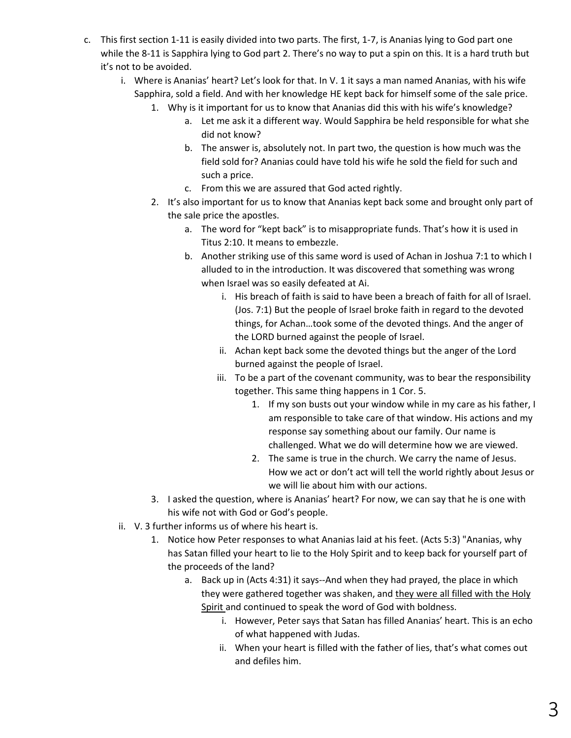- c. This first section 1-11 is easily divided into two parts. The first, 1-7, is Ananias lying to God part one while the 8-11 is Sapphira lying to God part 2. There's no way to put a spin on this. It is a hard truth but it's not to be avoided.
	- i. Where is Ananias' heart? Let's look for that. In V. 1 it says a man named Ananias, with his wife Sapphira, sold a field. And with her knowledge HE kept back for himself some of the sale price.
		- 1. Why is it important for us to know that Ananias did this with his wife's knowledge?
			- a. Let me ask it a different way. Would Sapphira be held responsible for what she did not know?
			- b. The answer is, absolutely not. In part two, the question is how much was the field sold for? Ananias could have told his wife he sold the field for such and such a price.
			- c. From this we are assured that God acted rightly.
		- 2. It's also important for us to know that Ananias kept back some and brought only part of the sale price the apostles.
			- a. The word for "kept back" is to misappropriate funds. That's how it is used in Titus 2:10. It means to embezzle.
			- b. Another striking use of this same word is used of Achan in Joshua 7:1 to which I alluded to in the introduction. It was discovered that something was wrong when Israel was so easily defeated at Ai.
				- i. His breach of faith is said to have been a breach of faith for all of Israel. (Jos. 7:1) But the people of Israel broke faith in regard to the devoted things, for Achan…took some of the devoted things. And the anger of the LORD burned against the people of Israel.
				- ii. Achan kept back some the devoted things but the anger of the Lord burned against the people of Israel.
				- iii. To be a part of the covenant community, was to bear the responsibility together. This same thing happens in 1 Cor. 5.
					- 1. If my son busts out your window while in my care as his father, I am responsible to take care of that window. His actions and my response say something about our family. Our name is challenged. What we do will determine how we are viewed.
					- 2. The same is true in the church. We carry the name of Jesus. How we act or don't act will tell the world rightly about Jesus or we will lie about him with our actions.
		- 3. I asked the question, where is Ananias' heart? For now, we can say that he is one with his wife not with God or God's people.
	- ii. V. 3 further informs us of where his heart is.
		- 1. Notice how Peter responses to what Ananias laid at his feet. (Acts 5:3) "Ananias, why has Satan filled your heart to lie to the Holy Spirit and to keep back for yourself part of the proceeds of the land?
			- a. Back up in (Acts 4:31) it says--And when they had prayed, the place in which they were gathered together was shaken, and they were all filled with the Holy Spirit and continued to speak the word of God with boldness.
				- i. However, Peter says that Satan has filled Ananias' heart. This is an echo of what happened with Judas.
				- ii. When your heart is filled with the father of lies, that's what comes out and defiles him.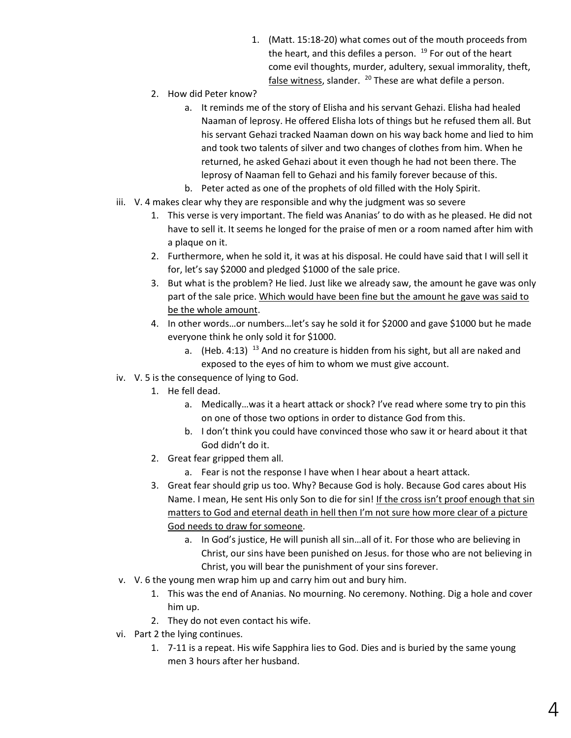- 1. (Matt. 15:18-20) what comes out of the mouth proceeds from the heart, and this defiles a person.  $19$  For out of the heart come evil thoughts, murder, adultery, sexual immorality, theft, false witness, slander.  $^{20}$  These are what defile a person.
- 2. How did Peter know?
	- a. It reminds me of the story of Elisha and his servant Gehazi. Elisha had healed Naaman of leprosy. He offered Elisha lots of things but he refused them all. But his servant Gehazi tracked Naaman down on his way back home and lied to him and took two talents of silver and two changes of clothes from him. When he returned, he asked Gehazi about it even though he had not been there. The leprosy of Naaman fell to Gehazi and his family forever because of this.
	- b. Peter acted as one of the prophets of old filled with the Holy Spirit.
- iii. V. 4 makes clear why they are responsible and why the judgment was so severe
	- 1. This verse is very important. The field was Ananias' to do with as he pleased. He did not have to sell it. It seems he longed for the praise of men or a room named after him with a plaque on it.
	- 2. Furthermore, when he sold it, it was at his disposal. He could have said that I will sell it for, let's say \$2000 and pledged \$1000 of the sale price.
	- 3. But what is the problem? He lied. Just like we already saw, the amount he gave was only part of the sale price. Which would have been fine but the amount he gave was said to be the whole amount.
	- 4. In other words…or numbers…let's say he sold it for \$2000 and gave \$1000 but he made everyone think he only sold it for \$1000.
		- a. (Heb. 4:13)  $^{13}$  And no creature is hidden from his sight, but all are naked and exposed to the eyes of him to whom we must give account.
- iv. V. 5 is the consequence of lying to God.
	- 1. He fell dead.
		- a. Medically…was it a heart attack or shock? I've read where some try to pin this on one of those two options in order to distance God from this.
		- b. I don't think you could have convinced those who saw it or heard about it that God didn't do it.
	- 2. Great fear gripped them all.
		- a. Fear is not the response I have when I hear about a heart attack.
	- 3. Great fear should grip us too. Why? Because God is holy. Because God cares about His Name. I mean, He sent His only Son to die for sin! If the cross isn't proof enough that sin matters to God and eternal death in hell then I'm not sure how more clear of a picture God needs to draw for someone.
		- a. In God's justice, He will punish all sin…all of it. For those who are believing in Christ, our sins have been punished on Jesus. for those who are not believing in Christ, you will bear the punishment of your sins forever.
- v. V. 6 the young men wrap him up and carry him out and bury him.
	- 1. This was the end of Ananias. No mourning. No ceremony. Nothing. Dig a hole and cover him up.
	- 2. They do not even contact his wife.
- vi. Part 2 the lying continues.
	- 1. 7-11 is a repeat. His wife Sapphira lies to God. Dies and is buried by the same young men 3 hours after her husband.